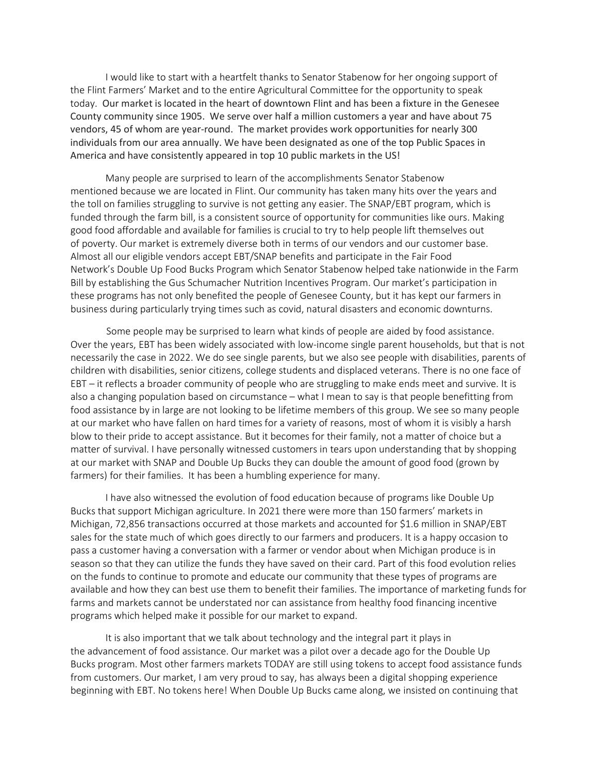I would like to start with a heartfelt thanks to Senator Stabenow for her ongoing support of the Flint Farmers' Market and to the entire Agricultural Committee for the opportunity to speak today. Our market is located in the heart of downtown Flint and has been a fixture in the Genesee County community since 1905. We serve over half a million customers a year and have about 75 vendors, 45 of whom are year-round. The market provides work opportunities for nearly 300 individuals from our area annually. We have been designated as one of the top Public Spaces in America and have consistently appeared in top 10 public markets in the US!

Many people are surprised to learn of the accomplishments Senator Stabenow mentioned because we are located in Flint. Our community has taken many hits over the years and the toll on families struggling to survive is not getting any easier. The SNAP/EBT program, which is funded through the farm bill, is a consistent source of opportunity for communities like ours. Making good food affordable and available for families is crucial to try to help people lift themselves out of poverty. Our market is extremely diverse both in terms of our vendors and our customer base. Almost all our eligible vendors accept EBT/SNAP benefits and participate in the Fair Food Network's Double Up Food Bucks Program which Senator Stabenow helped take nationwide in the Farm Bill by establishing the Gus Schumacher Nutrition Incentives Program. Our market's participation in these programs has not only benefited the people of Genesee County, but it has kept our farmers in business during particularly trying times such as covid, natural disasters and economic downturns.

Some people may be surprised to learn what kinds of people are aided by food assistance. Over the years, EBT has been widely associated with low-income single parent households, but that is not necessarily the case in 2022. We do see single parents, but we also see people with disabilities, parents of children with disabilities, senior citizens, college students and displaced veterans. There is no one face of EBT – it reflects a broader community of people who are struggling to make ends meet and survive. It is also a changing population based on circumstance – what I mean to say is that people benefitting from food assistance by in large are not looking to be lifetime members of this group. We see so many people at our market who have fallen on hard times for a variety of reasons, most of whom it is visibly a harsh blow to their pride to accept assistance. But it becomes for their family, not a matter of choice but a matter of survival. I have personally witnessed customers in tears upon understanding that by shopping at our market with SNAP and Double Up Bucks they can double the amount of good food (grown by farmers) for their families. It has been a humbling experience for many.

I have also witnessed the evolution of food education because of programs like Double Up Bucks that support Michigan agriculture. In 2021 there were more than 150 farmers' markets in Michigan, 72,856 transactions occurred at those markets and accounted for \$1.6 million in SNAP/EBT sales for the state much of which goes directly to our farmers and producers. It is a happy occasion to pass a customer having a conversation with a farmer or vendor about when Michigan produce is in season so that they can utilize the funds they have saved on their card. Part of this food evolution relies on the funds to continue to promote and educate our community that these types of programs are available and how they can best use them to benefit their families. The importance of marketing funds for farms and markets cannot be understated nor can assistance from healthy food financing incentive programs which helped make it possible for our market to expand.

It is also important that we talk about technology and the integral part it plays in the advancement of food assistance. Our market was a pilot over a decade ago for the Double Up Bucks program. Most other farmers markets TODAY are still using tokens to accept food assistance funds from customers. Our market, I am very proud to say, has always been a digital shopping experience beginning with EBT. No tokens here! When Double Up Bucks came along, we insisted on continuing that